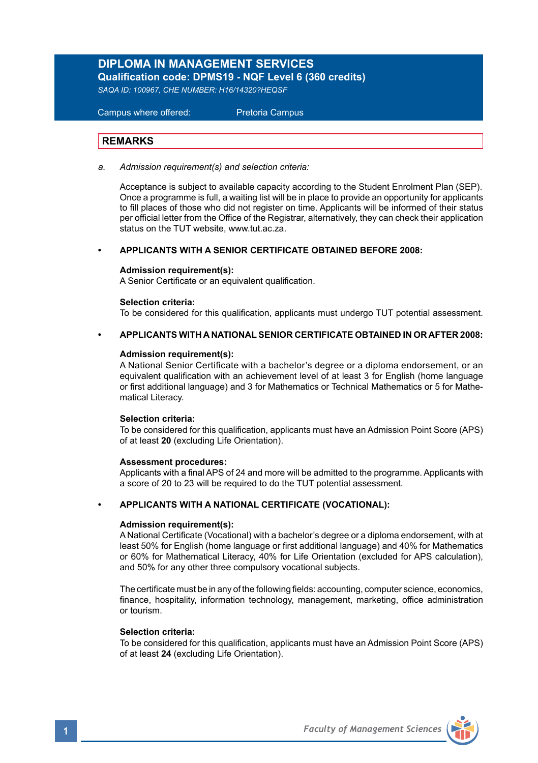## **DIPLOMA IN MANAGEMENT SERVICES Qualification code: DPMS19 - NQF Level 6 (360 credits)**

*SAQA ID: 100967, CHE NUMBER: H16/14320?HEQSF* 

# Campus where offered: Pretoria Campus

## **REMARKS**

*a. Admission requirement(s) and selection criteria:*

Acceptance is subject to available capacity according to the Student Enrolment Plan (SEP). Once a programme is full, a waiting list will be in place to provide an opportunity for applicants to fill places of those who did not register on time. Applicants will be informed of their status per official letter from the Office of the Registrar, alternatively, they can check their application status on the TUT website, www.tut.ac.za.

#### **• APPLICANTS WITH A SENIOR CERTIFICATE OBTAINED BEFORE 2008:**

### **Admission requirement(s):**

A Senior Certificate or an equivalent qualification.

### **Selection criteria:**

To be considered for this qualification, applicants must undergo TUT potential assessment.

### **• APPLICANTS WITH A NATIONAL SENIOR CERTIFICATE OBTAINED IN OR AFTER 2008:**

### **Admission requirement(s):**

A National Senior Certificate with a bachelor's degree or a diploma endorsement, or an equivalent qualification with an achievement level of at least 3 for English (home language or first additional language) and 3 for Mathematics or Technical Mathematics or 5 for Mathematical Literacy.

#### **Selection criteria:**

To be considered for this qualification, applicants must have an Admission Point Score (APS) of at least **20** (excluding Life Orientation).

#### **Assessment procedures:**

Applicants with a final APS of 24 and more will be admitted to the programme. Applicants with a score of 20 to 23 will be required to do the TUT potential assessment.

### **• APPLICANTS WITH A NATIONAL CERTIFICATE (VOCATIONAL):**

#### **Admission requirement(s):**

A National Certificate (Vocational) with a bachelor's degree or a diploma endorsement, with at least 50% for English (home language or first additional language) and 40% for Mathematics or 60% for Mathematical Literacy, 40% for Life Orientation (excluded for APS calculation), and 50% for any other three compulsory vocational subjects.

The certificate must be in any of the following fields: accounting, computer science, economics, finance, hospitality, information technology, management, marketing, office administration or tourism.

#### **Selection criteria:**

To be considered for this qualification, applicants must have an Admission Point Score (APS) of at least **24** (excluding Life Orientation).

**1** *Faculty of Management Sciences*

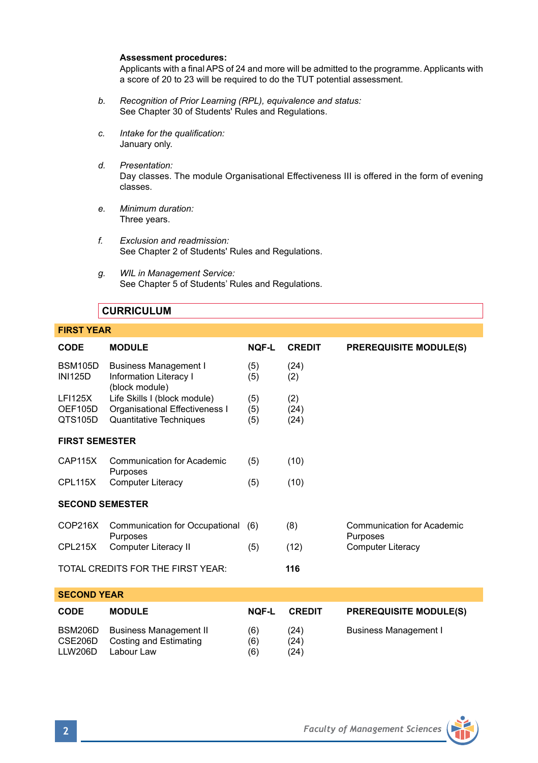#### **Assessment procedures:**

Applicants with a final APS of 24 and more will be admitted to the programme. Applicants with a score of 20 to 23 will be required to do the TUT potential assessment.

- *b. Recognition of Prior Learning (RPL), equivalence and status:* See Chapter 30 of Students' Rules and Regulations.
- *c. Intake for the qualification:* January only.
- *d. Presentation:* Day classes. The module Organisational Effectiveness III is offered in the form of evening classes.
- *e. Minimum duration:* Three years.
- *f. Exclusion and readmission:* See Chapter 2 of Students' Rules and Regulations.
- *g. WIL in Management Service:* See Chapter 5 of Students' Rules and Regulations.

## **CURRICULUM**

## **FIRST YEAR**

| <b>CODE</b>                       | <b>MODULE</b>                            | NOF-L        | <b>CREDIT</b> | <b>PREREQUISITE MODULE(S)</b> |  |  |  |
|-----------------------------------|------------------------------------------|--------------|---------------|-------------------------------|--|--|--|
| <b>BSM105D</b><br><b>INI125D</b>  | <b>Business Management I</b>             | (5)          | (24)          |                               |  |  |  |
|                                   | Information Literacy I<br>(block module) | (5)          | (2)           |                               |  |  |  |
| <b>LFI125X</b>                    | Life Skills I (block module)             | (5)          | (2)           |                               |  |  |  |
| OEF105D                           | Organisational Effectiveness I           | (5)          | (24)          |                               |  |  |  |
| QTS105D                           | <b>Quantitative Techniques</b>           | (5)          | (24)          |                               |  |  |  |
| <b>FIRST SEMESTER</b>             |                                          |              |               |                               |  |  |  |
| CAP115X                           | Communication for Academic               | (5)          | (10)          |                               |  |  |  |
|                                   | Purposes                                 |              |               |                               |  |  |  |
| CPL115X                           | <b>Computer Literacy</b>                 | (5)          | (10)          |                               |  |  |  |
| <b>SECOND SEMESTER</b>            |                                          |              |               |                               |  |  |  |
| COP216X                           | Communication for Occupational           | (6)          | (8)           | Communication for Academic    |  |  |  |
|                                   | Purposes                                 |              |               | Purposes                      |  |  |  |
| CPL215X                           | Computer Literacy II                     | (5)          | (12)          | <b>Computer Literacy</b>      |  |  |  |
| TOTAL CREDITS FOR THE FIRST YEAR: |                                          |              | 116           |                               |  |  |  |
|                                   |                                          |              |               |                               |  |  |  |
| <b>SECOND YEAR</b>                |                                          |              |               |                               |  |  |  |
| <b>CODE</b>                       | <b>MODULE</b>                            | <b>NOF-L</b> | <b>CREDIT</b> | <b>PREREQUISITE MODULE(S)</b> |  |  |  |
| BSM206D                           | <b>Business Management II</b>            | (6)          | (24)          | <b>Business Management I</b>  |  |  |  |
| CSE206D                           | <b>Costing and Estimating</b>            | (6)          | (24)          |                               |  |  |  |
| <b>LLW206D</b>                    | Labour Law                               | (6)          | (24)          |                               |  |  |  |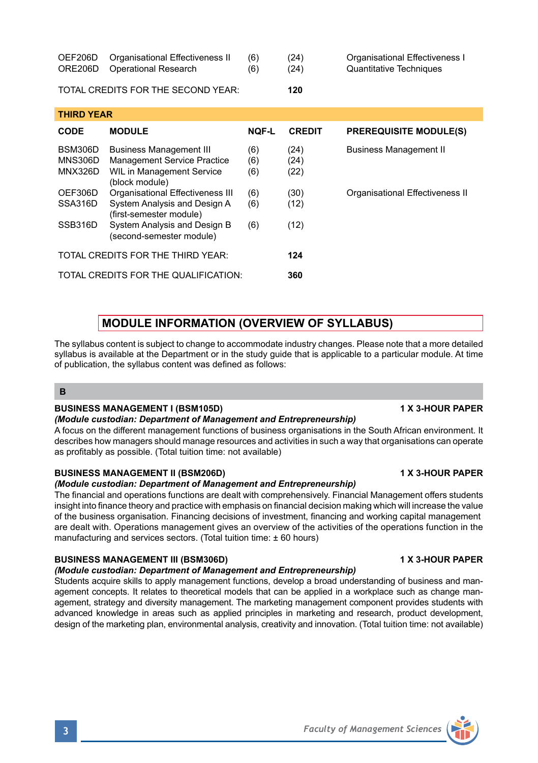| <b>OEF206D</b><br>ORE206D     | Organisational Effectiveness II<br><b>Operational Research</b>                                                              | (6)<br>(6)        | (24)<br>(24)         | Organisational Effectiveness I<br><b>Quantitative Techniques</b> |  |  |  |
|-------------------------------|-----------------------------------------------------------------------------------------------------------------------------|-------------------|----------------------|------------------------------------------------------------------|--|--|--|
|                               | TOTAL CREDITS FOR THE SECOND YEAR:                                                                                          |                   | 120                  |                                                                  |  |  |  |
| <b>THIRD YEAR</b>             |                                                                                                                             |                   |                      |                                                                  |  |  |  |
| <b>CODE</b>                   | <b>MODULE</b>                                                                                                               | <b>NQF-L</b>      | <b>CREDIT</b>        | <b>PREREQUISITE MODULE(S)</b>                                    |  |  |  |
| BSM306D<br>MNS306D<br>MNX326D | <b>Business Management III</b><br><b>Management Service Practice</b><br>WIL in Management Service<br>(block module)         | (6)<br>(6)<br>(6) | (24)<br>(24)<br>(22) | <b>Business Management II</b>                                    |  |  |  |
| OEF306D<br>SSA316D<br>SSB316D | Organisational Effectiveness III<br>System Analysis and Design A<br>(first-semester module)<br>System Analysis and Design B | (6)<br>(6)<br>(6) | (30)<br>(12)<br>(12) | Organisational Effectiveness II                                  |  |  |  |
|                               | (second-semester module)<br>TOTAL CREDITS EOR THE THIRD VEAR.                                                               |                   | 121                  |                                                                  |  |  |  |

## **MODULE INFORMATION (OVERVIEW OF SYLLABUS)**

The syllabus content is subject to change to accommodate industry changes. Please note that a more detailed syllabus is available at the Department or in the study guide that is applicable to a particular module. At time of publication, the syllabus content was defined as follows:

## **B**

## **BUSINESS MANAGEMENT I (BSM105D) 1 X 3-HOUR PAPER**

## *(Module custodian: Department of Management and Entrepreneurship)*

TOTAL CREDITS FOR THE QUALIFICATION: **360**

A focus on the different management functions of business organisations in the South African environment. It describes how managers should manage resources and activities in such a way that organisations can operate as profitably as possible. (Total tuition time: not available)

## **BUSINESS MANAGEMENT II (BSM206D) 1 X 3-HOUR PAPER**

## *(Module custodian: Department of Management and Entrepreneurship)*

The financial and operations functions are dealt with comprehensively. Financial Management offers students insight into finance theory and practice with emphasis on financial decision making which will increase the value of the business organisation. Financing decisions of investment, financing and working capital management are dealt with. Operations management gives an overview of the activities of the operations function in the manufacturing and services sectors. (Total tuition time: ± 60 hours)

## **BUSINESS MANAGEMENT III (BSM306D) 1 X 3-HOUR PAPER**

## *(Module custodian: Department of Management and Entrepreneurship)*

Students acquire skills to apply management functions, develop a broad understanding of business and management concepts. It relates to theoretical models that can be applied in a workplace such as change management, strategy and diversity management. The marketing management component provides students with advanced knowledge in areas such as applied principles in marketing and research, product development, design of the marketing plan, environmental analysis, creativity and innovation. (Total tuition time: not available)

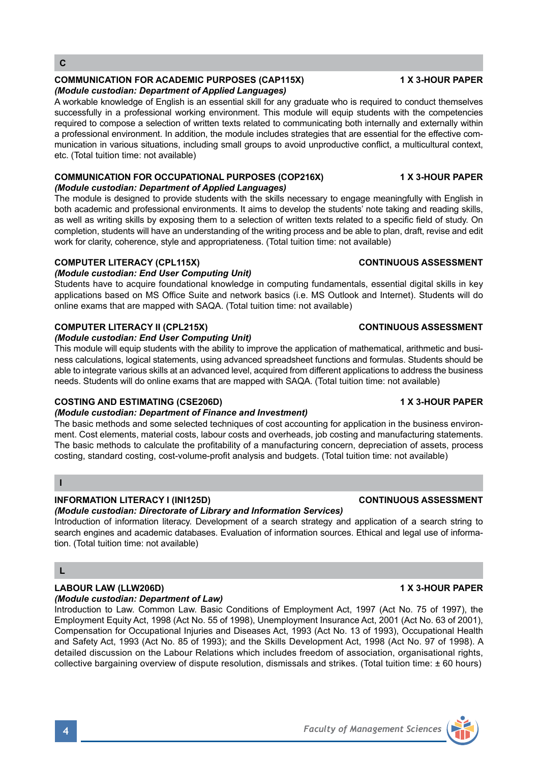## **COMMUNICATION FOR ACADEMIC PURPOSES (CAP115X) 1 X 3-HOUR PAPER**

## *(Module custodian: Department of Applied Languages)*

A workable knowledge of English is an essential skill for any graduate who is required to conduct themselves successfully in a professional working environment. This module will equip students with the competencies required to compose a selection of written texts related to communicating both internally and externally within a professional environment. In addition, the module includes strategies that are essential for the effective communication in various situations, including small groups to avoid unproductive conflict, a multicultural context, etc. (Total tuition time: not available)

## **COMMUNICATION FOR OCCUPATIONAL PURPOSES (COP216X) 1 X 3-HOUR PAPER** *(Module custodian: Department of Applied Languages)*

The module is designed to provide students with the skills necessary to engage meaningfully with English in both academic and professional environments. It aims to develop the students' note taking and reading skills, as well as writing skills by exposing them to a selection of written texts related to a specific field of study. On completion, students will have an understanding of the writing process and be able to plan, draft, revise and edit work for clarity, coherence, style and appropriateness. (Total tuition time: not available)

## **COMPUTER LITERACY (CPL115X)** CONTINUOUS ASSESSMENT

## *(Module custodian: End User Computing Unit)*

Students have to acquire foundational knowledge in computing fundamentals, essential digital skills in key applications based on MS Office Suite and network basics (i.e. MS Outlook and Internet). Students will do online exams that are mapped with SAQA. (Total tuition time: not available)

## **COMPUTER LITERACY II (CPL215X)** CONTINUOUS ASSESSMENT

## *(Module custodian: End User Computing Unit)*

This module will equip students with the ability to improve the application of mathematical, arithmetic and business calculations, logical statements, using advanced spreadsheet functions and formulas. Students should be able to integrate various skills at an advanced level, acquired from different applications to address the business needs. Students will do online exams that are mapped with SAQA. (Total tuition time: not available)

## **COSTING AND ESTIMATING (CSE206D) 1 X 3-HOUR PAPER**

## *(Module custodian: Department of Finance and Investment)*

The basic methods and some selected techniques of cost accounting for application in the business environment. Cost elements, material costs, labour costs and overheads, job costing and manufacturing statements. The basic methods to calculate the profitability of a manufacturing concern, depreciation of assets, process costing, standard costing, cost-volume-profit analysis and budgets. (Total tuition time: not available)

## **I**

## **INFORMATION LITERACY I (INI125D) CONTINUOUS ASSESSMENT**

## *(Module custodian: Directorate of Library and Information Services)*

Introduction of information literacy. Development of a search strategy and application of a search string to search engines and academic databases. Evaluation of information sources. Ethical and legal use of information. (Total tuition time: not available)

## **L**

#### **LABOUR LAW (LLW206D) 1 X 3-HOUR PAPER** *(Module custodian: Department of Law)*

Introduction to Law. Common Law. Basic Conditions of Employment Act, 1997 (Act No. 75 of 1997), the Employment Equity Act, 1998 (Act No. 55 of 1998), Unemployment Insurance Act, 2001 (Act No. 63 of 2001), Compensation for Occupational Injuries and Diseases Act, 1993 (Act No. 13 of 1993), Occupational Health and Safety Act, 1993 (Act No. 85 of 1993); and the Skills Development Act, 1998 (Act No. 97 of 1998). A detailed discussion on the Labour Relations which includes freedom of association, organisational rights, collective bargaining overview of dispute resolution, dismissals and strikes. (Total tuition time: ± 60 hours)

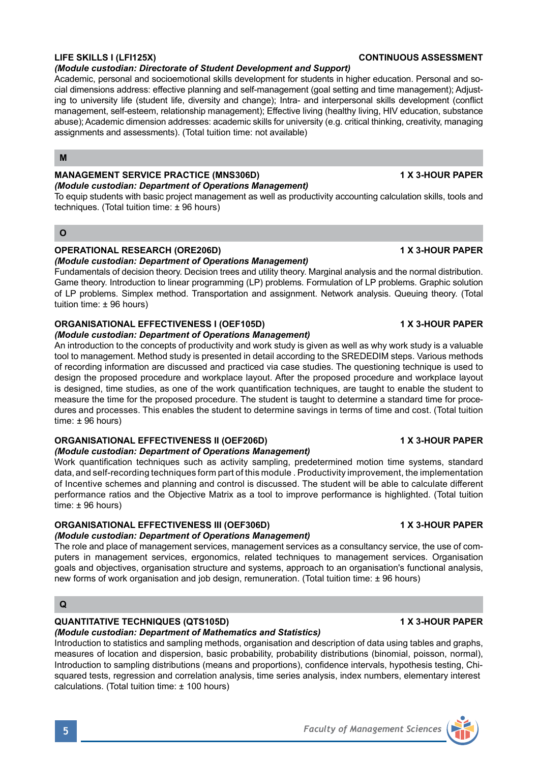## *(Module custodian: Directorate of Student Development and Support)*

Academic, personal and socioemotional skills development for students in higher education. Personal and social dimensions address: effective planning and self-management (goal setting and time management); Adjusting to university life (student life, diversity and change); Intra- and interpersonal skills development (conflict management, self-esteem, relationship management); Effective living (healthy living, HIV education, substance abuse); Academic dimension addresses: academic skills for university (e.g. critical thinking, creativity, managing assignments and assessments). (Total tuition time: not available)

### **M**

## **MANAGEMENT SERVICE PRACTICE (MNS306D)** 1 X 3-HOUR PAPER

#### *(Module custodian: Department of Operations Management)*  To equip students with basic project management as well as productivity accounting calculation skills, tools and techniques. (Total tuition time: ± 96 hours)

### **O**

## **OPERATIONAL RESEARCH (ORE206D) 1 X 3-HOUR PAPER**

### *(Module custodian: Department of Operations Management)*

Fundamentals of decision theory. Decision trees and utility theory. Marginal analysis and the normal distribution. Game theory. Introduction to linear programming (LP) problems. Formulation of LP problems. Graphic solution of LP problems. Simplex method. Transportation and assignment. Network analysis. Queuing theory. (Total tuition time: ± 96 hours)

## **ORGANISATIONAL EFFECTIVENESS I (OEF105D) 1 X 3-HOUR PAPER**

#### *(Module custodian: Department of Operations Management)*

An introduction to the concepts of productivity and work study is given as well as why work study is a valuable tool to management. Method study is presented in detail according to the SREDEDIM steps. Various methods of recording information are discussed and practiced via case studies. The questioning technique is used to design the proposed procedure and workplace layout. After the proposed procedure and workplace layout is designed, time studies, as one of the work quantification techniques, are taught to enable the student to measure the time for the proposed procedure. The student is taught to determine a standard time for procedures and processes. This enables the student to determine savings in terms of time and cost. (Total tuition time: ± 96 hours)

## **ORGANISATIONAL EFFECTIVENESS II (OEF206D) 1 X 3-HOUR PAPER**

## *(Module custodian: Department of Operations Management)*

Work quantification techniques such as activity sampling, predetermined motion time systems, standard data, and self-recording techniques form part of this module . Productivity improvement, the implementation of Incentive schemes and planning and control is discussed. The student will be able to calculate different performance ratios and the Objective Matrix as a tool to improve performance is highlighted. (Total tuition time: ± 96 hours)

## **ORGANISATIONAL EFFECTIVENESS III (OEF306D) 1 X 3-HOUR PAPER**

## *(Module custodian: Department of Operations Management)*

The role and place of management services, management services as a consultancy service, the use of computers in management services, ergonomics, related techniques to management services. Organisation goals and objectives, organisation structure and systems, approach to an organisation's functional analysis, new forms of work organisation and job design, remuneration. (Total tuition time: ± 96 hours)

## **Q**

## **QUANTITATIVE TECHNIQUES (QTS105D) 1 X 3-HOUR PAPER**

## *(Module custodian: Department of Mathematics and Statistics)*

Introduction to statistics and sampling methods, organisation and description of data using tables and graphs, measures of location and dispersion, basic probability, probability distributions (binomial, poisson, normal), Introduction to sampling distributions (means and proportions), confidence intervals, hypothesis testing, Chisquared tests, regression and correlation analysis, time series analysis, index numbers, elementary interest calculations. (Total tuition time: ± 100 hours)

### **LIFE SKILLS I (LFI125X) CONTINUOUS ASSESSMENT**